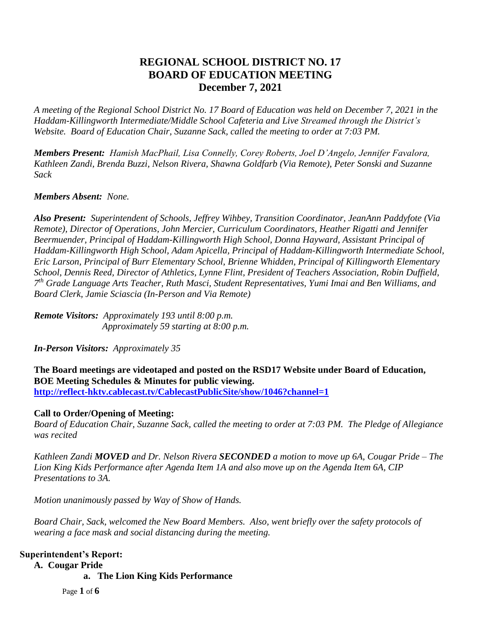# **REGIONAL SCHOOL DISTRICT NO. 17 BOARD OF EDUCATION MEETING December 7, 2021**

*A meeting of the Regional School District No. 17 Board of Education was held on December 7, 2021 in the Haddam-Killingworth Intermediate/Middle School Cafeteria and Live Streamed through the District's Website. Board of Education Chair, Suzanne Sack, called the meeting to order at 7:03 PM.*

*Members Present: Hamish MacPhail, Lisa Connelly, Corey Roberts, Joel D'Angelo, Jennifer Favalora, Kathleen Zandi, Brenda Buzzi, Nelson Rivera, Shawna Goldfarb (Via Remote), Peter Sonski and Suzanne Sack*

# *Members Absent: None.*

*Also Present: Superintendent of Schools, Jeffrey Wihbey, Transition Coordinator, JeanAnn Paddyfote (Via Remote), Director of Operations, John Mercier, Curriculum Coordinators, Heather Rigatti and Jennifer Beermuender, Principal of Haddam-Killingworth High School, Donna Hayward, Assistant Principal of Haddam-Killingworth High School, Adam Apicella, Principal of Haddam-Killingworth Intermediate School, Eric Larson, Principal of Burr Elementary School, Brienne Whidden, Principal of Killingworth Elementary School, Dennis Reed, Director of Athletics, Lynne Flint, President of Teachers Association, Robin Duffield, 7 th Grade Language Arts Teacher, Ruth Masci, Student Representatives, Yumi Imai and Ben Williams, and Board Clerk, Jamie Sciascia (In-Person and Via Remote)*

*Remote Visitors: Approximately 193 until 8:00 p.m. Approximately 59 starting at 8:00 p.m.* 

*In-Person Visitors: Approximately 35*

**The Board meetings are videotaped and posted on the RSD17 Website under Board of Education, BOE Meeting Schedules & Minutes for public viewing. <http://reflect-hktv.cablecast.tv/CablecastPublicSite/show/1046?channel=1>**

### **Call to Order/Opening of Meeting:**

*Board of Education Chair, Suzanne Sack, called the meeting to order at 7:03 PM. The Pledge of Allegiance was recited*

*Kathleen Zandi MOVED and Dr. Nelson Rivera SECONDED a motion to move up 6A, Cougar Pride – The Lion King Kids Performance after Agenda Item 1A and also move up on the Agenda Item 6A, CIP Presentations to 3A.*

*Motion unanimously passed by Way of Show of Hands.*

*Board Chair, Sack, welcomed the New Board Members. Also, went briefly over the safety protocols of wearing a face mask and social distancing during the meeting.*

## **Superintendent's Report:**

**A. Cougar Pride**

**a. The Lion King Kids Performance** 

Page **1** of **6**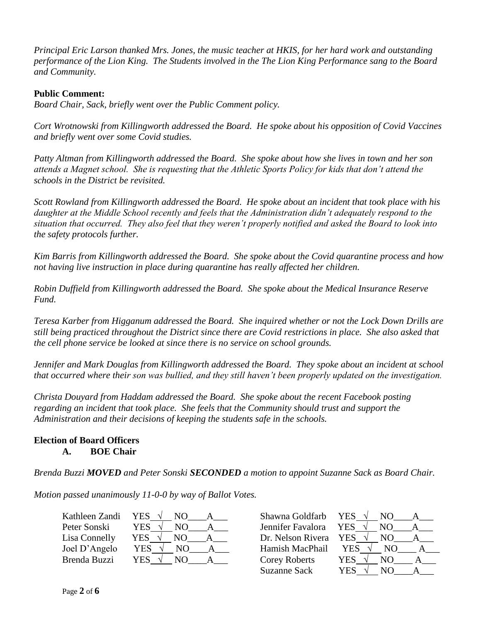*Principal Eric Larson thanked Mrs. Jones, the music teacher at HKIS, for her hard work and outstanding performance of the Lion King. The Students involved in the The Lion King Performance sang to the Board and Community.*

## **Public Comment:**

*Board Chair, Sack, briefly went over the Public Comment policy.*

*Cort Wrotnowski from Killingworth addressed the Board. He spoke about his opposition of Covid Vaccines and briefly went over some Covid studies.*

*Patty Altman from Killingworth addressed the Board. She spoke about how she lives in town and her son attends a Magnet school. She is requesting that the Athletic Sports Policy for kids that don't attend the schools in the District be revisited.*

*Scott Rowland from Killingworth addressed the Board. He spoke about an incident that took place with his daughter at the Middle School recently and feels that the Administration didn't adequately respond to the situation that occurred. They also feel that they weren't properly notified and asked the Board to look into the safety protocols further.*

*Kim Barris from Killingworth addressed the Board. She spoke about the Covid quarantine process and how not having live instruction in place during quarantine has really affected her children.*

*Robin Duffield from Killingworth addressed the Board. She spoke about the Medical Insurance Reserve Fund.*

*Teresa Karber from Higganum addressed the Board. She inquired whether or not the Lock Down Drills are still being practiced throughout the District since there are Covid restrictions in place. She also asked that the cell phone service be looked at since there is no service on school grounds.*

*Jennifer and Mark Douglas from Killingworth addressed the Board. They spoke about an incident at school that occurred where their son was bullied, and they still haven't been properly updated on the investigation.*

*Christa Douyard from Haddam addressed the Board. She spoke about the recent Facebook posting regarding an incident that took place. She feels that the Community should trust and support the Administration and their decisions of keeping the students safe in the schools.*

### **Election of Board Officers A. BOE Chair**

*Brenda Buzzi MOVED and Peter Sonski SECONDED a motion to appoint Suzanne Sack as Board Chair.* 

*Motion passed unanimously 11-0-0 by way of Ballot Votes.*

| Kathleen Zandi | YES.<br>NО | Shawna Goldfarb      | YES.<br>NΩ        |  |
|----------------|------------|----------------------|-------------------|--|
| Peter Sonski   | YES<br>NO  | Jennifer Favalora    | YES<br>N()        |  |
| Lisa Connelly  | YES<br>NO. | Dr. Nelson Rivera    | <b>YES</b><br>NO. |  |
| Joel D'Angelo  | YES        | Hamish MacPhail      | YES               |  |
| Brenda Buzzi   | YES        | <b>Corey Roberts</b> | <b>YES</b><br>NO  |  |

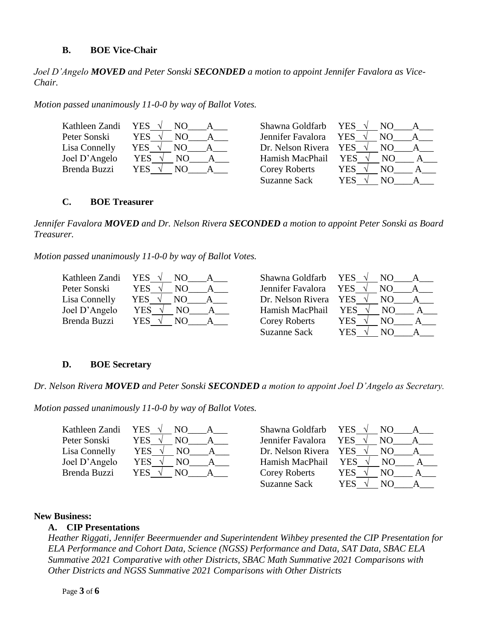### **B. BOE Vice-Chair**

*Joel D'Angelo MOVED and Peter Sonski SECONDED a motion to appoint Jennifer Favalora as Vice-Chair.* 

*Motion passed unanimously 11-0-0 by way of Ballot Votes.*

| Kathleen Zandi YES √ | NO.        | Shawna Goldfarb      | YES $\sqrt{ }$<br>NO. |
|----------------------|------------|----------------------|-----------------------|
| Peter Sonski         | YES<br>NΟ  | Jennifer Favalora    | <b>YES</b><br>NO.     |
| Lisa Connelly        | YES<br>NO. | Dr. Nelson Rivera    | YES<br>NO.            |
| Joel D'Angelo        | YES<br>NO. | Hamish MacPhail      | <b>YES</b><br>NO.     |
| Brenda Buzzi         | YES<br>NO. | <b>Corey Roberts</b> | YES.<br>NO.           |
|                      |            | Suzanne Sack         | YES<br>NO.            |

#### **C. BOE Treasurer**

*Jennifer Favalora MOVED and Dr. Nelson Rivera SECONDED a motion to appoint Peter Sonski as Board Treasurer.* 

*Motion passed unanimously 11-0-0 by way of Ballot Votes.*

| Kathleen Zandi | <b>YES</b><br>NΟ | Shawna Goldfarb     | YES $\sqrt{ }$<br>NO. |
|----------------|------------------|---------------------|-----------------------|
| Peter Sonski   | YES<br>NΟ        | Jennifer Favalora   | <b>YES</b><br>NO.     |
| Lisa Connelly  | YES<br>NO.       | Dr. Nelson Rivera   | <b>YES</b><br>NO.     |
| Joel D'Angelo  | YES<br>NO.       | Hamish MacPhail     | YES.<br>NO.           |
| Brenda Buzzi   | YES .            | Corey Roberts       | YES.<br>NО            |
|                |                  | <b>Suzanne Sack</b> | YES<br>NO.            |

### **D. BOE Secretary**

*Dr. Nelson Rivera MOVED and Peter Sonski SECONDED a motion to appoint Joel D'Angelo as Secretary.* 

*Motion passed unanimously 11-0-0 by way of Ballot Votes.*

| Kathleen Zandi YES $\sqrt{}$ | NO.         | Shawna Goldfarb      | YES $\sqrt{ }$<br>NO. |
|------------------------------|-------------|----------------------|-----------------------|
| Peter Sonski                 | YES<br>NΟ   | Jennifer Favalora    | <b>YES</b><br>NO.     |
| Lisa Connelly                | YES<br>NO.  | Dr. Nelson Rivera    | YES<br>NO.            |
| Joel D'Angelo                | YES<br>NO.  | Hamish MacPhail      | <b>YES</b><br>NO.     |
| <b>Brenda Buzzi</b>          | YES .<br>NΟ | <b>Corey Roberts</b> | YES.<br>NО            |
|                              |             | <b>Suzanne Sack</b>  | YES<br>NО             |

#### **New Business:**

### **A. CIP Presentations**

*Heather Riggati, Jennifer Beeermuender and Superintendent Wihbey presented the CIP Presentation for ELA Performance and Cohort Data, Science (NGSS) Performance and Data, SAT Data, SBAC ELA Summative 2021 Comparative with other Districts, SBAC Math Summative 2021 Comparisons with Other Districts and NGSS Summative 2021 Comparisons with Other Districts*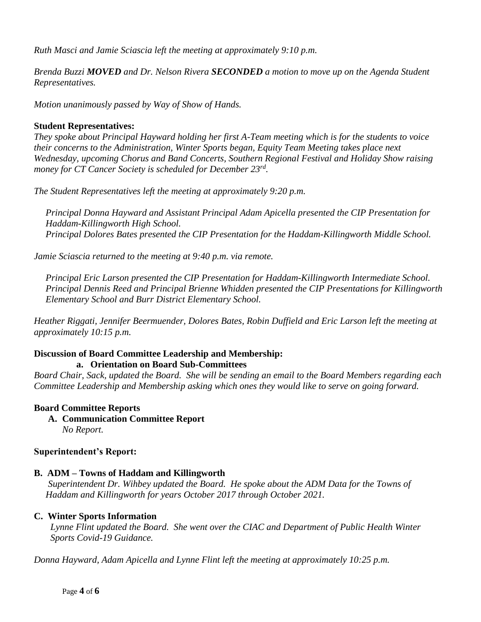*Ruth Masci and Jamie Sciascia left the meeting at approximately 9:10 p.m.*

*Brenda Buzzi MOVED and Dr. Nelson Rivera SECONDED a motion to move up on the Agenda Student Representatives.* 

*Motion unanimously passed by Way of Show of Hands.*

# **Student Representatives:**

*They spoke about Principal Hayward holding her first A-Team meeting which is for the students to voice their concerns to the Administration, Winter Sports began, Equity Team Meeting takes place next Wednesday, upcoming Chorus and Band Concerts, Southern Regional Festival and Holiday Show raising money for CT Cancer Society is scheduled for December 23rd .*

*The Student Representatives left the meeting at approximately 9:20 p.m.*

 *Principal Donna Hayward and Assistant Principal Adam Apicella presented the CIP Presentation for Haddam-Killingworth High School. Principal Dolores Bates presented the CIP Presentation for the Haddam-Killingworth Middle School.*

*Jamie Sciascia returned to the meeting at 9:40 p.m. via remote.*

 *Principal Eric Larson presented the CIP Presentation for Haddam-Killingworth Intermediate School. Principal Dennis Reed and Principal Brienne Whidden presented the CIP Presentations for Killingworth Elementary School and Burr District Elementary School.*

*Heather Riggati, Jennifer Beermuender, Dolores Bates, Robin Duffield and Eric Larson left the meeting at approximately 10:15 p.m.*

#### **Discussion of Board Committee Leadership and Membership: a. Orientation on Board Sub-Committees**

*Board Chair, Sack, updated the Board. She will be sending an email to the Board Members regarding each Committee Leadership and Membership asking which ones they would like to serve on going forward.*

# **Board Committee Reports**

**A. Communication Committee Report** *No Report.*

# **Superintendent's Report:**

# **B. ADM – Towns of Haddam and Killingworth**

 *Superintendent Dr. Wihbey updated the Board. He spoke about the ADM Data for the Towns of Haddam and Killingworth for years October 2017 through October 2021.*

# **C. Winter Sports Information**

 *Lynne Flint updated the Board. She went over the CIAC and Department of Public Health Winter Sports Covid-19 Guidance.* 

*Donna Hayward, Adam Apicella and Lynne Flint left the meeting at approximately 10:25 p.m.*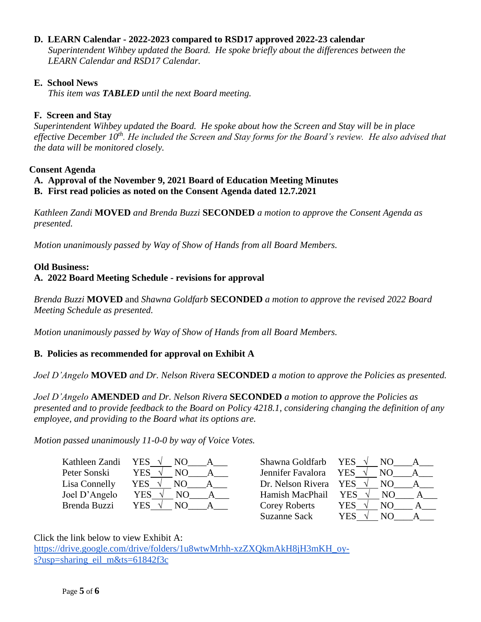# **D. LEARN Calendar - 2022-2023 compared to RSD17 approved 2022-23 calendar**

 *Superintendent Wihbey updated the Board. He spoke briefly about the differences between the LEARN Calendar and RSD17 Calendar.*

### **E. School News**

 *This item was TABLED until the next Board meeting.*

## **F. Screen and Stay**

*Superintendent Wihbey updated the Board. He spoke about how the Screen and Stay will be in place effective December 10th. He included the Screen and Stay forms for the Board's review. He also advised that the data will be monitored closely.* 

### **Consent Agenda**

**A. Approval of the November 9, 2021 Board of Education Meeting Minutes**

**B. First read policies as noted on the Consent Agenda dated 12.7.2021** 

*Kathleen Zandi* **MOVED** *and Brenda Buzzi* **SECONDED** *a motion to approve the Consent Agenda as presented.*

*Motion unanimously passed by Way of Show of Hands from all Board Members.*

# **Old Business:**

# **A. 2022 Board Meeting Schedule - revisions for approval**

*Brenda Buzzi* **MOVED** and *Shawna Goldfarb* **SECONDED** *a motion to approve the revised 2022 Board Meeting Schedule as presented.*

*Motion unanimously passed by Way of Show of Hands from all Board Members.*

# **B. Policies as recommended for approval on Exhibit A**

*Joel D'Angelo* **MOVED** *and Dr. Nelson Rivera* **SECONDED** *a motion to approve the Policies as presented.*

*Joel D'Angelo* **AMENDED** *and Dr. Nelson Rivera* **SECONDED** *a motion to approve the Policies as presented and to provide feedback to the Board on Policy 4218.1, considering changing the definition of any employee, and providing to the Board what its options are.* 

*Motion passed unanimously 11-0-0 by way of Voice Votes.*

| Kathleen Zandi |
|----------------|
| Peter Sonski   |
| Lisa Connelly  |
| Joel D'Angelo  |
| Brenda Buzzi   |
|                |

| YES        | Shawna Goldfarb      | YES               |
|------------|----------------------|-------------------|
| <b>YES</b> | Jennifer Favalora    | YES               |
| <b>YES</b> | Dr. Nelson Rivera    | <b>YES</b><br>NO. |
| <b>YES</b> | Hamish MacPhail      | YES<br>NO.        |
| YE.        | <b>Corey Roberts</b> | YES               |
|            | <b>Suzanne Sack</b>  | YEN               |



Click the link below to view Exhibit A: [https://drive.google.com/drive/folders/1u8wtwMrhh-xzZXQkmAkH8jH3mKH\\_oy](https://drive.google.com/drive/folders/1u8wtwMrhh-xzZXQkmAkH8jH3mKH_oy-s?usp=sharing_eil_m&ts=61842f3c)[s?usp=sharing\\_eil\\_m&ts=61842f3c](https://drive.google.com/drive/folders/1u8wtwMrhh-xzZXQkmAkH8jH3mKH_oy-s?usp=sharing_eil_m&ts=61842f3c)